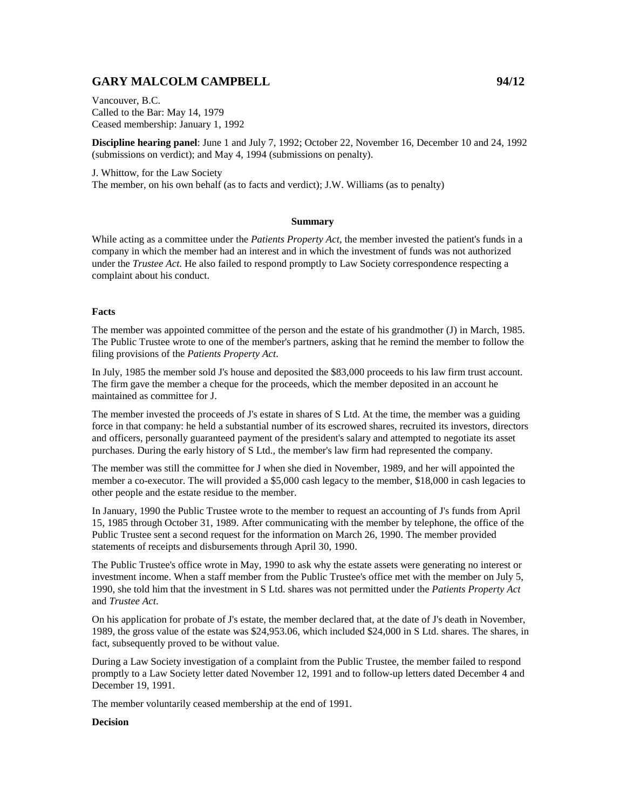# **GARY MALCOLM CAMPBELL 94/12**

Vancouver, B.C. Called to the Bar: May 14, 1979 Ceased membership: January 1, 1992

**Discipline hearing panel**: June 1 and July 7, 1992; October 22, November 16, December 10 and 24, 1992 (submissions on verdict); and May 4, 1994 (submissions on penalty).

J. Whittow, for the Law Society The member, on his own behalf (as to facts and verdict); J.W. Williams (as to penalty)

### **Summary**

While acting as a committee under the *Patients Property Act*, the member invested the patient's funds in a company in which the member had an interest and in which the investment of funds was not authorized under the *Trustee Act*. He also failed to respond promptly to Law Society correspondence respecting a complaint about his conduct.

### **Facts**

The member was appointed committee of the person and the estate of his grandmother (J) in March, 1985. The Public Trustee wrote to one of the member's partners, asking that he remind the member to follow the filing provisions of the *Patients Property Act*.

In July, 1985 the member sold J's house and deposited the \$83,000 proceeds to his law firm trust account. The firm gave the member a cheque for the proceeds, which the member deposited in an account he maintained as committee for J.

The member invested the proceeds of J's estate in shares of S Ltd. At the time, the member was a guiding force in that company: he held a substantial number of its escrowed shares, recruited its investors, directors and officers, personally guaranteed payment of the president's salary and attempted to negotiate its asset purchases. During the early history of S Ltd., the member's law firm had represented the company.

The member was still the committee for J when she died in November, 1989, and her will appointed the member a co-executor. The will provided a \$5,000 cash legacy to the member, \$18,000 in cash legacies to other people and the estate residue to the member.

In January, 1990 the Public Trustee wrote to the member to request an accounting of J's funds from April 15, 1985 through October 31, 1989. After communicating with the member by telephone, the office of the Public Trustee sent a second request for the information on March 26, 1990. The member provided statements of receipts and disbursements through April 30, 1990.

The Public Trustee's office wrote in May, 1990 to ask why the estate assets were generating no interest or investment income. When a staff member from the Public Trustee's office met with the member on July 5, 1990, she told him that the investment in S Ltd. shares was not permitted under the *Patients Property Act*  and *Trustee Act*.

On his application for probate of J's estate, the member declared that, at the date of J's death in November, 1989, the gross value of the estate was \$24,953.06, which included \$24,000 in S Ltd. shares. The shares, in fact, subsequently proved to be without value.

During a Law Society investigation of a complaint from the Public Trustee, the member failed to respond promptly to a Law Society letter dated November 12, 1991 and to follow-up letters dated December 4 and December 19, 1991.

The member voluntarily ceased membership at the end of 1991.

#### **Decision**